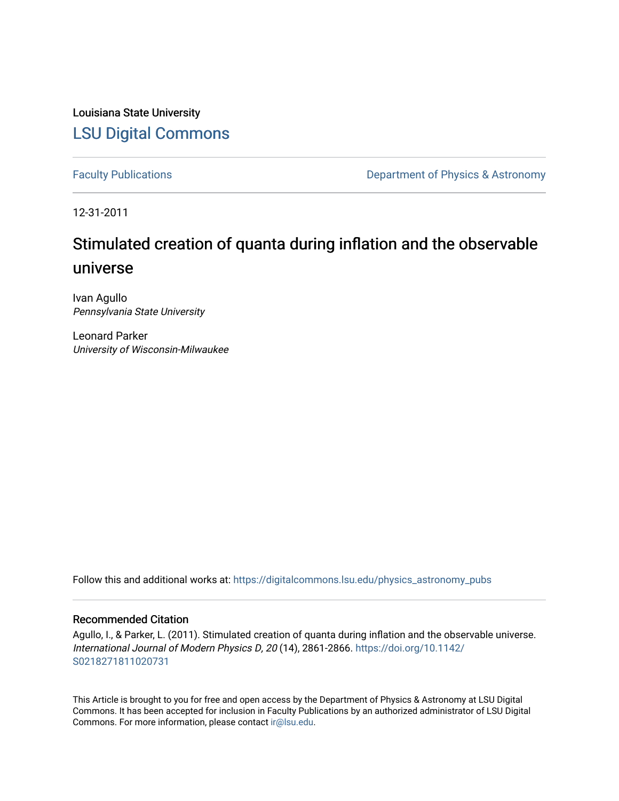Louisiana State University [LSU Digital Commons](https://digitalcommons.lsu.edu/)

[Faculty Publications](https://digitalcommons.lsu.edu/physics_astronomy_pubs) **Exercise 2 and Table 2 and Table 2 and Table 2 and Table 2 and Table 2 and Table 2 and Table 2 and Table 2 and Table 2 and Table 2 and Table 2 and Table 2 and Table 2 and Table 2 and Table 2 and Table** 

12-31-2011

# Stimulated creation of quanta during inflation and the observable universe

Ivan Agullo Pennsylvania State University

Leonard Parker University of Wisconsin-Milwaukee

Follow this and additional works at: [https://digitalcommons.lsu.edu/physics\\_astronomy\\_pubs](https://digitalcommons.lsu.edu/physics_astronomy_pubs?utm_source=digitalcommons.lsu.edu%2Fphysics_astronomy_pubs%2F181&utm_medium=PDF&utm_campaign=PDFCoverPages) 

#### Recommended Citation

Agullo, I., & Parker, L. (2011). Stimulated creation of quanta during inflation and the observable universe. International Journal of Modern Physics D, 20 (14), 2861-2866. [https://doi.org/10.1142/](https://doi.org/10.1142/S0218271811020731) [S0218271811020731](https://doi.org/10.1142/S0218271811020731) 

This Article is brought to you for free and open access by the Department of Physics & Astronomy at LSU Digital Commons. It has been accepted for inclusion in Faculty Publications by an authorized administrator of LSU Digital Commons. For more information, please contact [ir@lsu.edu](mailto:ir@lsu.edu).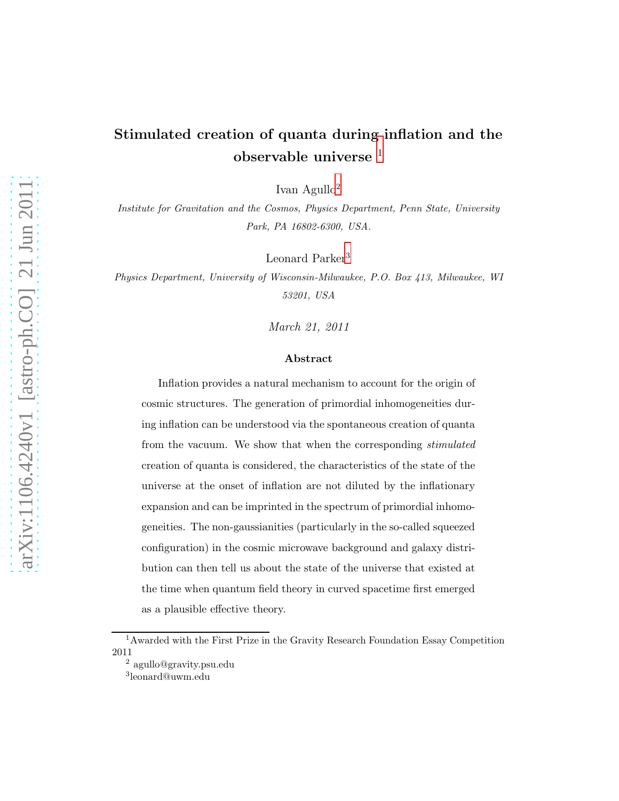## Stimulated creation of quanta during inflation and the observable universe [1](#page-1-0)

Ivan Agullo[2](#page-1-1)

Institute for Gravitation and the Cosmos, Physics Department, Penn State, University Park, PA 16802-6300, USA.

Leonard Parker<sup>[3](#page-1-2)</sup>

Physics Department, University of Wisconsin-Milwaukee, P.O. Box 413, Milwaukee, WI 53201, USA

March 21, 2011

#### Abstract

Inflation provides a natural mechanism to account for the origin of cosmic structures. The generation of primordial inhomogeneities during inflation can be understood via the spontaneous creation of quanta from the vacuum. We show that when the corresponding stimulated creation of quanta is considered, the characteristics of the state of the universe at the onset of inflation are not diluted by the inflationary expansion and can be imprinted in the spectrum of primordial inhomogeneities. The non-gaussianities (particularly in the so-called squeezed configuration) in the cosmic microwave background and galaxy distribution can then tell us about the state of the universe that existed at the time when quantum field theory in curved spacetime first emerged as a plausible effective theory.

<sup>&</sup>lt;sup>1</sup>Awarded with the First Prize in the Gravity Research Foundation Essay Competition 2011

<span id="page-1-0"></span><sup>2</sup> agullo@gravity.psu.edu

<span id="page-1-2"></span><span id="page-1-1"></span><sup>3</sup> leonard@uwm.edu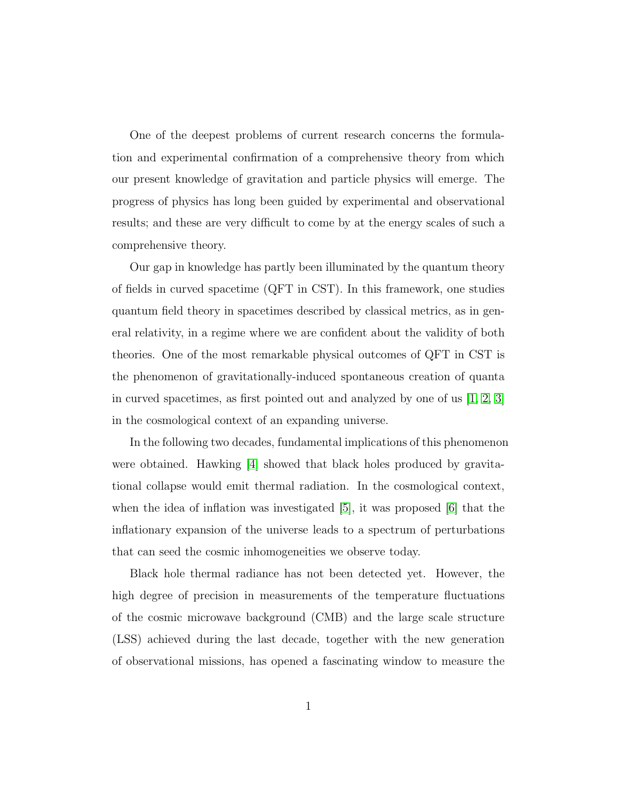One of the deepest problems of current research concerns the formulation and experimental confirmation of a comprehensive theory from which our present knowledge of gravitation and particle physics will emerge. The progress of physics has long been guided by experimental and observational results; and these are very difficult to come by at the energy scales of such a comprehensive theory.

Our gap in knowledge has partly been illuminated by the quantum theory of fields in curved spacetime (QFT in CST). In this framework, one studies quantum field theory in spacetimes described by classical metrics, as in general relativity, in a regime where we are confident about the validity of both theories. One of the most remarkable physical outcomes of QFT in CST is the phenomenon of gravitationally-induced spontaneous creation of quanta in curved spacetimes, as first pointed out and analyzed by one of us [\[1,](#page-8-0) [2,](#page-8-1) [3\]](#page-8-2) in the cosmological context of an expanding universe.

In the following two decades, fundamental implications of this phenomenon were obtained. Hawking  $|4|$  showed that black holes produced by gravitational collapse would emit thermal radiation. In the cosmological context, when the idea of inflation was investigated [\[5\]](#page-8-4), it was proposed [\[6\]](#page-8-5) that the inflationary expansion of the universe leads to a spectrum of perturbations that can seed the cosmic inhomogeneities we observe today.

Black hole thermal radiance has not been detected yet. However, the high degree of precision in measurements of the temperature fluctuations of the cosmic microwave background (CMB) and the large scale structure (LSS) achieved during the last decade, together with the new generation of observational missions, has opened a fascinating window to measure the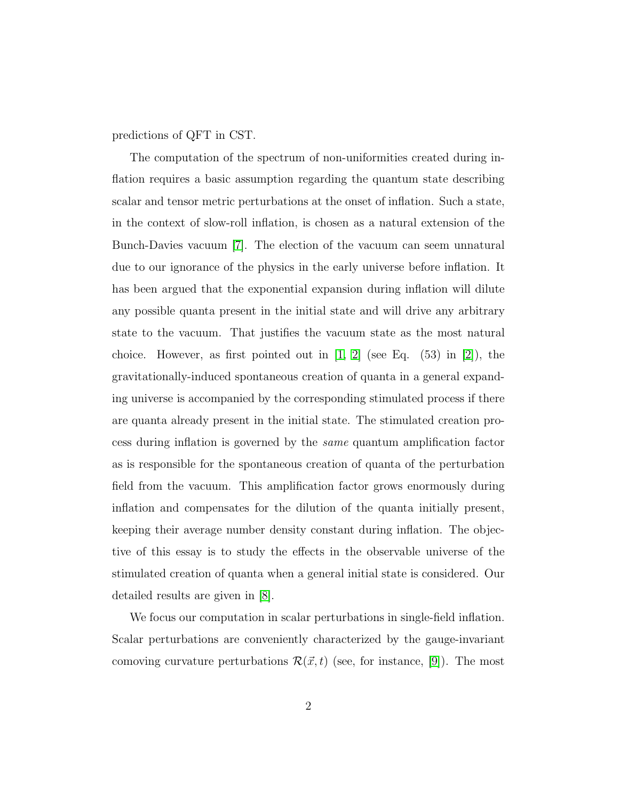predictions of QFT in CST.

The computation of the spectrum of non-uniformities created during inflation requires a basic assumption regarding the quantum state describing scalar and tensor metric perturbations at the onset of inflation. Such a state, in the context of slow-roll inflation, is chosen as a natural extension of the Bunch-Davies vacuum [\[7\]](#page-9-0). The election of the vacuum can seem unnatural due to our ignorance of the physics in the early universe before inflation. It has been argued that the exponential expansion during inflation will dilute any possible quanta present in the initial state and will drive any arbitrary state to the vacuum. That justifies the vacuum state as the most natural choice. However, as first pointed out in  $[1, 2]$  $[1, 2]$  (see Eq.  $(53)$  in  $[2]$ ), the gravitationally-induced spontaneous creation of quanta in a general expanding universe is accompanied by the corresponding stimulated process if there are quanta already present in the initial state. The stimulated creation process during inflation is governed by the same quantum amplification factor as is responsible for the spontaneous creation of quanta of the perturbation field from the vacuum. This amplification factor grows enormously during inflation and compensates for the dilution of the quanta initially present, keeping their average number density constant during inflation. The objective of this essay is to study the effects in the observable universe of the stimulated creation of quanta when a general initial state is considered. Our detailed results are given in [\[8\]](#page-9-1).

We focus our computation in scalar perturbations in single-field inflation. Scalar perturbations are conveniently characterized by the gauge-invariant comoving curvature perturbations  $\mathcal{R}(\vec{x}, t)$  (see, for instance, [\[9\]](#page-9-2)). The most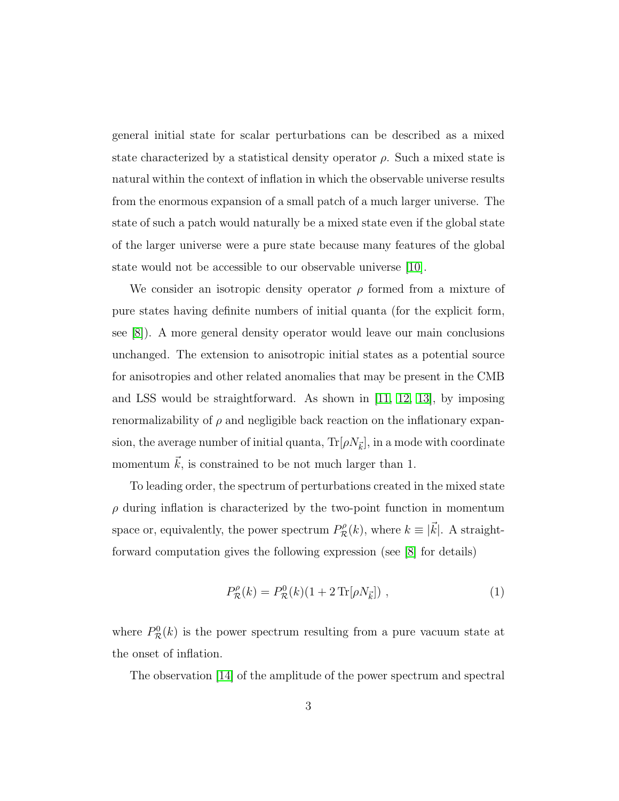general initial state for scalar perturbations can be described as a mixed state characterized by a statistical density operator  $\rho$ . Such a mixed state is natural within the context of inflation in which the observable universe results from the enormous expansion of a small patch of a much larger universe. The state of such a patch would naturally be a mixed state even if the global state of the larger universe were a pure state because many features of the global state would not be accessible to our observable universe [\[10\]](#page-9-3).

We consider an isotropic density operator  $\rho$  formed from a mixture of pure states having definite numbers of initial quanta (for the explicit form, see [\[8\]](#page-9-1)). A more general density operator would leave our main conclusions unchanged. The extension to anisotropic initial states as a potential source for anisotropies and other related anomalies that may be present in the CMB and LSS would be straightforward. As shown in  $[11, 12, 13]$  $[11, 12, 13]$  $[11, 12, 13]$ , by imposing renormalizability of  $\rho$  and negligible back reaction on the inflationary expansion, the average number of initial quanta,  $\text{Tr}[\rho N_{\vec{k}}],$  in a mode with coordinate momentum  $\vec{k}$ , is constrained to be not much larger than 1.

To leading order, the spectrum of perturbations created in the mixed state  $\rho$  during inflation is characterized by the two-point function in momentum space or, equivalently, the power spectrum  $P_{\mathcal{R}}^{\rho}(k)$ , where  $k \equiv |\vec{k}|$ . A straightforward computation gives the following expression (see [\[8\]](#page-9-1) for details)

$$
P_{\mathcal{R}}^{\rho}(k) = P_{\mathcal{R}}^{0}(k)(1 + 2\operatorname{Tr}[\rho N_{\vec{k}}]) , \qquad (1)
$$

where  $P_{\mathcal{R}}^0(k)$  is the power spectrum resulting from a pure vacuum state at the onset of inflation.

The observation [\[14\]](#page-9-7) of the amplitude of the power spectrum and spectral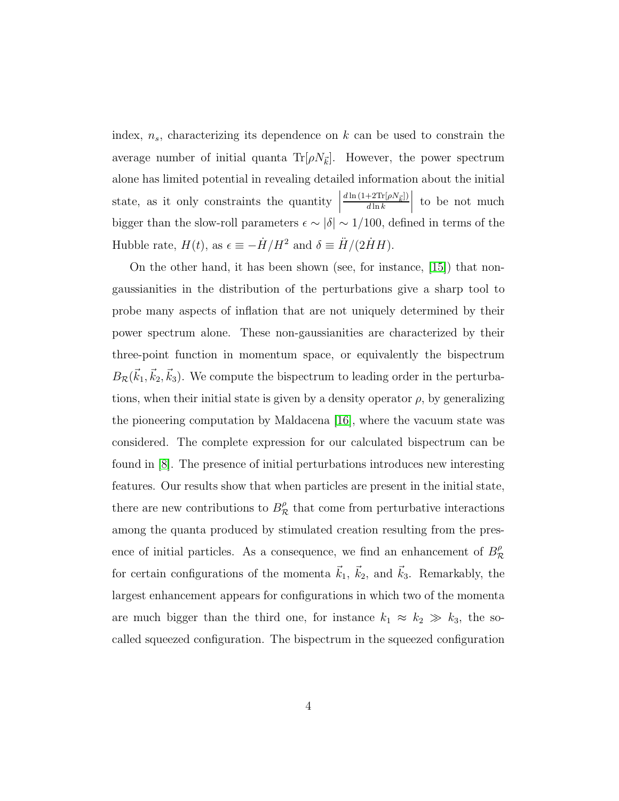index,  $n_s$ , characterizing its dependence on k can be used to constrain the average number of initial quanta  $\text{Tr}[\rho N_{\vec{k}}]$ . However, the power spectrum alone has limited potential in revealing detailed information about the initial state, as it only constraints the quantity  $\Big|$  $d\ln\left(1{+}2\text{Tr}[\rho N_{\vec{k}}]\right)$  $d \ln k$  $\begin{array}{c} \begin{array}{c} \begin{array}{c} \end{array} \\ \begin{array}{c} \end{array} \end{array} \end{array}$ to be not much bigger than the slow-roll parameters  $\epsilon \sim |\delta| \sim 1/100$ , defined in terms of the Hubble rate,  $H(t)$ , as  $\epsilon \equiv -\dot{H}/H^2$  and  $\delta \equiv \ddot{H}/(2\dot{H}H)$ .

On the other hand, it has been shown (see, for instance, [\[15\]](#page-9-8)) that nongaussianities in the distribution of the perturbations give a sharp tool to probe many aspects of inflation that are not uniquely determined by their power spectrum alone. These non-gaussianities are characterized by their three-point function in momentum space, or equivalently the bispectrum  $B_{\mathcal{R}}(\vec{k}_1, \vec{k}_2, \vec{k}_3)$ . We compute the bispectrum to leading order in the perturbations, when their initial state is given by a density operator  $\rho$ , by generalizing the pioneering computation by Maldacena  $[16]$ , where the vacuum state was considered. The complete expression for our calculated bispectrum can be found in [\[8\]](#page-9-1). The presence of initial perturbations introduces new interesting features. Our results show that when particles are present in the initial state, there are new contributions to  $B_{\mathcal{R}}^{\rho}$  that come from perturbative interactions among the quanta produced by stimulated creation resulting from the presence of initial particles. As a consequence, we find an enhancement of  $B_{\mathcal{R}}^{\rho}$ for certain configurations of the momenta  $\vec{k}_1$ ,  $\vec{k}_2$ , and  $\vec{k}_3$ . Remarkably, the largest enhancement appears for configurations in which two of the momenta are much bigger than the third one, for instance  $k_1 \approx k_2 \gg k_3$ , the socalled squeezed configuration. The bispectrum in the squeezed configuration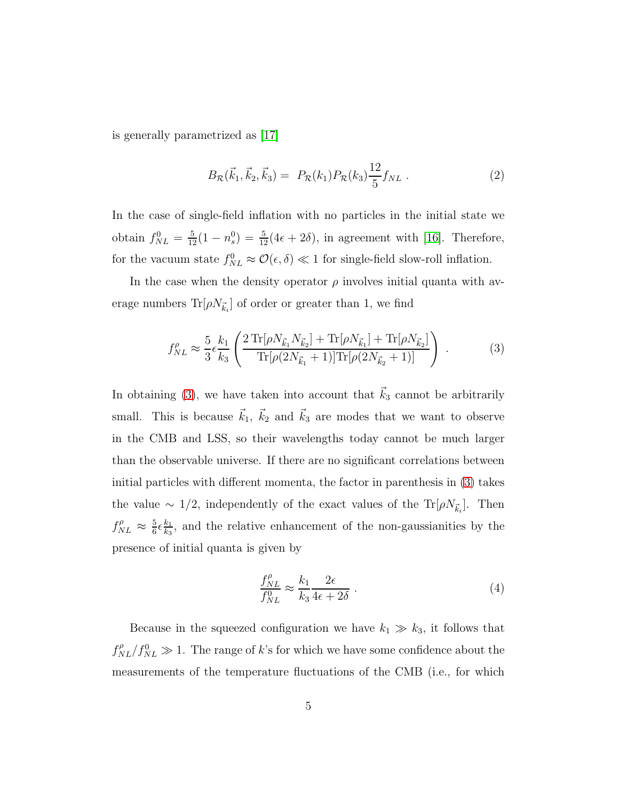is generally parametrized as [\[17\]](#page-9-10)

$$
B_{\mathcal{R}}(\vec{k}_1, \vec{k}_2, \vec{k}_3) = P_{\mathcal{R}}(k_1) P_{\mathcal{R}}(k_3) \frac{12}{5} f_{NL} . \tag{2}
$$

In the case of single-field inflation with no particles in the initial state we obtain  $f_{NL}^0 = \frac{5}{12}(1 - n_s^0) = \frac{5}{12}(4\epsilon + 2\delta)$ , in agreement with [\[16\]](#page-9-9). Therefore, for the vacuum state  $f_{NL}^0 \approx \mathcal{O}(\epsilon, \delta) \ll 1$  for single-field slow-roll inflation.

In the case when the density operator  $\rho$  involves initial quanta with average numbers  $\text{Tr}[\rho N_{\vec{k}_i}]$  of order or greater than 1, we find

<span id="page-6-0"></span>
$$
f_{NL}^{\rho} \approx \frac{5}{3} \epsilon \frac{k_1}{k_3} \left( \frac{2 \operatorname{Tr}[\rho N_{\vec{k}_1} N_{\vec{k}_2}] + \operatorname{Tr}[\rho N_{\vec{k}_1}] + \operatorname{Tr}[\rho N_{\vec{k}_2}]}{\operatorname{Tr}[\rho (2N_{\vec{k}_1} + 1)] \operatorname{Tr}[\rho (2N_{\vec{k}_2} + 1)]} \right) \ . \tag{3}
$$

In obtaining [\(3\)](#page-6-0), we have taken into account that  $\vec{k}_3$  cannot be arbitrarily small. This is because  $\vec{k}_1, \ \vec{k}_2$  and  $\vec{k}_3$  are modes that we want to observe in the CMB and LSS, so their wavelengths today cannot be much larger than the observable universe. If there are no significant correlations between initial particles with different momenta, the factor in parenthesis in [\(3\)](#page-6-0) takes the value  $\sim 1/2$ , independently of the exact values of the Tr[ $\rho N_{\vec{k}_i}$ ]. Then  $f_{NL}^{\rho} \approx \frac{5}{6}$  $\frac{5}{6}$  $\epsilon \frac{k_1}{k_3}$  $\frac{k_1}{k_3}$ , and the relative enhancement of the non-gaussianities by the presence of initial quanta is given by

$$
\frac{f_{NL}^{\rho}}{f_{NL}^0} \approx \frac{k_1}{k_3} \frac{2\epsilon}{4\epsilon + 2\delta} \,. \tag{4}
$$

Because in the squeezed configuration we have  $k_1 \gg k_3$ , it follows that  $f_{NL}^{\rho}/f_{NL}^0 \gg 1$ . The range of k's for which we have some confidence about the measurements of the temperature fluctuations of the CMB (i.e., for which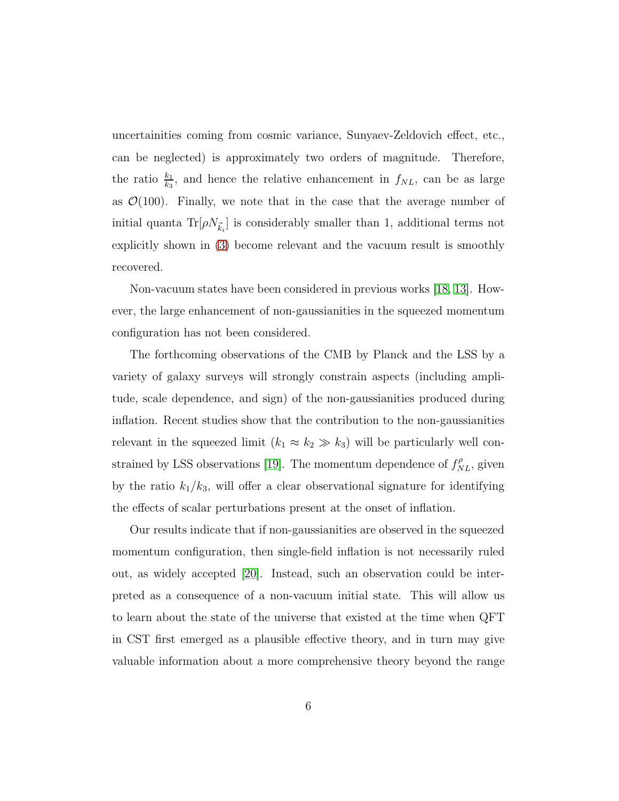uncertainities coming from cosmic variance, Sunyaev-Zeldovich effect, etc., can be neglected) is approximately two orders of magnitude. Therefore, the ratio  $\frac{k_1}{k_3}$ , and hence the relative enhancement in  $f_{NL}$ , can be as large as  $\mathcal{O}(100)$ . Finally, we note that in the case that the average number of initial quanta  $\text{Tr}[\rho N_{\vec{k}_i}]$  is considerably smaller than 1, additional terms not explicitly shown in [\(3\)](#page-6-0) become relevant and the vacuum result is smoothly recovered.

Non-vacuum states have been considered in previous works [\[18,](#page-10-0) [13\]](#page-9-6). However, the large enhancement of non-gaussianities in the squeezed momentum configuration has not been considered.

The forthcoming observations of the CMB by Planck and the LSS by a variety of galaxy surveys will strongly constrain aspects (including amplitude, scale dependence, and sign) of the non-gaussianities produced during inflation. Recent studies show that the contribution to the non-gaussianities relevant in the squeezed limit  $(k_1 \approx k_2 \gg k_3)$  will be particularly well con-strained by LSS observations [\[19\]](#page-10-1). The momentum dependence of  $f_{NL}^{\rho}$ , given by the ratio  $k_1/k_3$ , will offer a clear observational signature for identifying the effects of scalar perturbations present at the onset of inflation.

Our results indicate that if non-gaussianities are observed in the squeezed momentum configuration, then single-field inflation is not necessarily ruled out, as widely accepted [\[20\]](#page-10-2). Instead, such an observation could be interpreted as a consequence of a non-vacuum initial state. This will allow us to learn about the state of the universe that existed at the time when QFT in CST first emerged as a plausible effective theory, and in turn may give valuable information about a more comprehensive theory beyond the range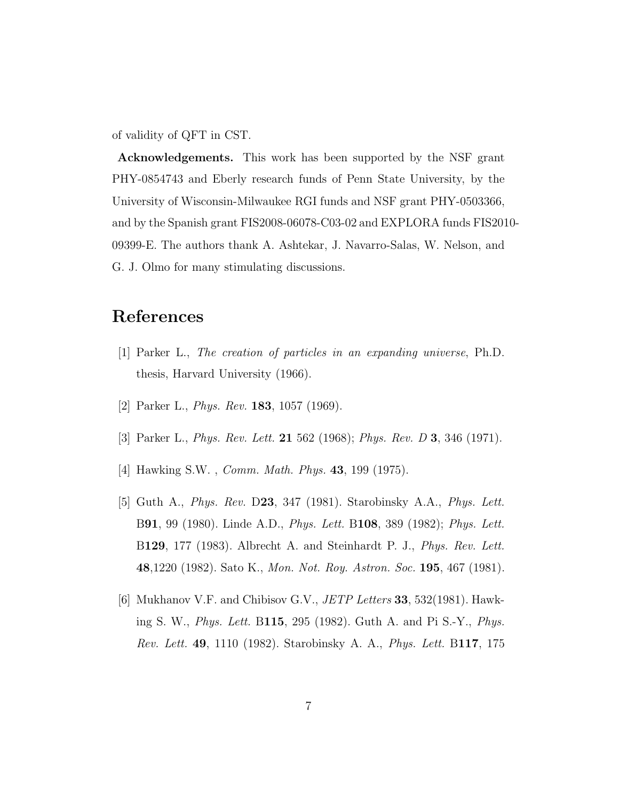of validity of QFT in CST.

Acknowledgements. This work has been supported by the NSF grant PHY-0854743 and Eberly research funds of Penn State University, by the University of Wisconsin-Milwaukee RGI funds and NSF grant PHY-0503366, and by the Spanish grant FIS2008-06078-C03-02 and EXPLORA funds FIS2010- 09399-E. The authors thank A. Ashtekar, J. Navarro-Salas, W. Nelson, and G. J. Olmo for many stimulating discussions.

### <span id="page-8-0"></span>References

- <span id="page-8-1"></span>[1] Parker L., The creation of particles in an expanding universe, Ph.D. thesis, Harvard University (1966).
- <span id="page-8-2"></span>[2] Parker L., *Phys. Rev.* **183**, 1057 (1969).
- <span id="page-8-3"></span>[3] Parker L., *Phys. Rev. Lett.* **21** 562 (1968); *Phys. Rev. D* **3**, 346 (1971).
- <span id="page-8-4"></span>[4] Hawking S.W. , Comm. Math. Phys. 43, 199 (1975).
- [5] Guth A., Phys. Rev. D23, 347 (1981). Starobinsky A.A., Phys. Lett. B91, 99 (1980). Linde A.D., Phys. Lett. B108, 389 (1982); Phys. Lett. B129, 177 (1983). Albrecht A. and Steinhardt P. J., *Phys. Rev. Lett.* 48,1220 (1982). Sato K., Mon. Not. Roy. Astron. Soc. 195, 467 (1981).
- <span id="page-8-5"></span>[6] Mukhanov V.F. and Chibisov G.V.,  $JETP$  Letters 33, 532(1981). Hawking S. W., Phys. Lett. B115, 295 (1982). Guth A. and Pi S.-Y., Phys. Rev. Lett. 49, 1110 (1982). Starobinsky A. A., Phys. Lett. B117, 175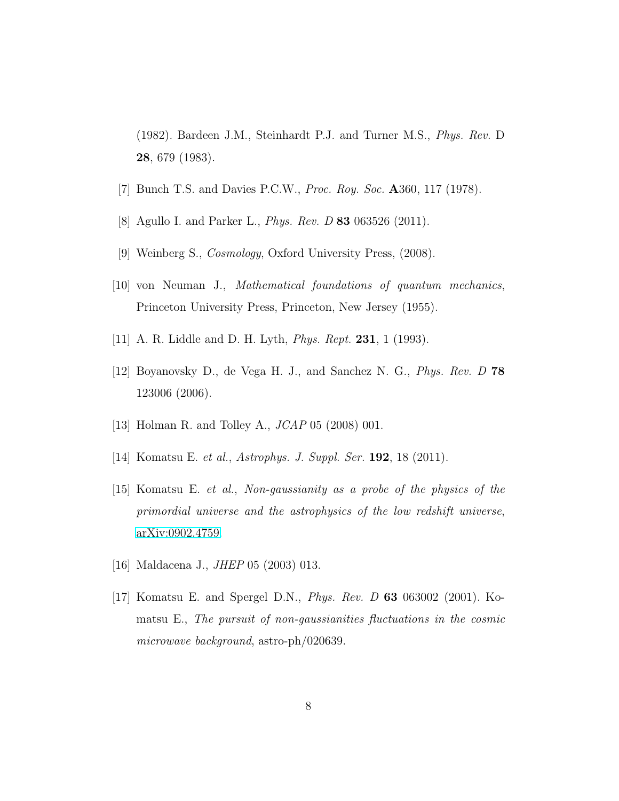<span id="page-9-0"></span>(1982). Bardeen J.M., Steinhardt P.J. and Turner M.S., Phys. Rev. D 28, 679 (1983).

- <span id="page-9-1"></span>[7] Bunch T.S. and Davies P.C.W., Proc. Roy. Soc. A360, 117 (1978).
- <span id="page-9-2"></span>[8] Agullo I. and Parker L., Phys. Rev. D 83 063526 (2011).
- <span id="page-9-3"></span>[9] Weinberg S., Cosmology, Oxford University Press, (2008).
- <span id="page-9-4"></span>[10] von Neuman J., Mathematical foundations of quantum mechanics, Princeton University Press, Princeton, New Jersey (1955).
- <span id="page-9-5"></span>[11] A. R. Liddle and D. H. Lyth, *Phys. Rept.* **231**, 1 (1993).
- <span id="page-9-6"></span>[12] Boyanovsky D., de Vega H. J., and Sanchez N. G., Phys. Rev. D 78 123006 (2006).
- <span id="page-9-7"></span>[13] Holman R. and Tolley A., JCAP 05 (2008) 001.
- <span id="page-9-8"></span>[14] Komatsu E. et al., Astrophys. J. Suppl. Ser. **192**, 18 (2011).
- [15] Komatsu E. et al., Non-gaussianity as a probe of the physics of the primordial universe and the astrophysics of the low redshift universe, [arXiv:0902.4759.](http://arxiv.org/abs/0902.4759)
- <span id="page-9-10"></span><span id="page-9-9"></span>[16] Maldacena J., JHEP 05 (2003) 013.
- [17] Komatsu E. and Spergel D.N., Phys. Rev. D 63 063002 (2001). Komatsu E., The pursuit of non-gaussianities fluctuations in the cosmic microwave background, astro-ph/020639.